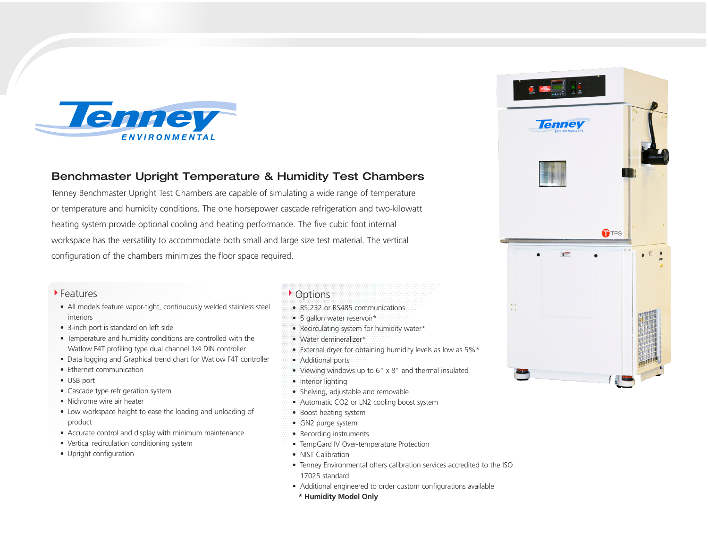

## Benchmaster Upright Temperature & Humidity Test Chambers

Tenney Benchmaster Upright Test Chambers are capable of simulating a wide range of temperature or temperature and humidity conditions. The one horsepower cascade refrigeration and two-kilowatt heating system provide optional cooling and heating performance. The five cubic foot internal workspace has the versatility to accommodate both small and large size test material. The vertical configuration of the chambers minimizes the floor space required.

## Features

- All models feature vapor-tight, continuously welded stainless steel interiors
- 3-inch port is standard on left side
- Temperature and humidity conditions are controlled with the Watlow F4T profiling type dual channel 1/4 DIN controller
- Data logging and Graphical trend chart for Watlow F4T controller
- Ethernet communication
- USB port
- Cascade type refrigeration system
- Nichrome wire air heater
- Low workspace height to ease the loading and unloading of product
- Accurate control and display with minimum maintenance
- Vertical recirculation conditioning system
- Upright configuration

## $\triangleright$  Options

- RS 232 or RS485 communications
- 5 gallon water reservoir\*
- Recirculating system for humidity water\*
- Water demineralizer\*
- External dryer for obtaining humidity levels as low as 5%\*
- Additional ports
- Viewing windows up to 6" x 8" and thermal insulated
- Interior lighting
- Shelving, adjustable and removable
- Automatic CO2 or LN2 cooling boost system
- Boost heating system
- GN2 purge system
- Recording instruments
- TempGard IV Over-temperature Protection
- NIST Calibration
- Tenney Environmental offers calibration services accredited to the ISO 17025 standard
- Additional engineered to order custom configurations available
- **\* Humidity Model Only**